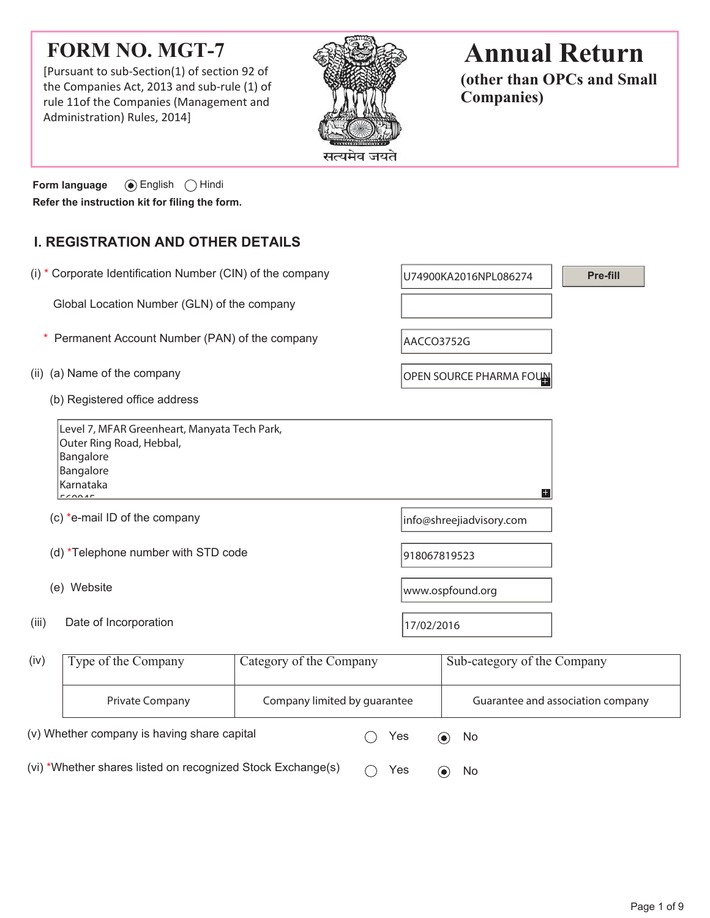## **FORM NO. MGT-7**

[Pursuant to sub-Section(1) of section 92 of the Companies Act, 2013 and sub-rule (1) of rule 11of the Companies (Management and Administration) Rules, 2014]



# **Annual Return**

**(other than OPCs and Small Companies)**

**Form language**  $\odot$  English  $\odot$  Hindi **Refer the instruction kit for filing the form.**

## **I. REGISTRATION AND OTHER DETAILS**

|                                                 | (i) * Corporate Identification Number (CIN) of the company                                                               |                         |                  | U74900KA2016NPL086274       | Pre-fill                          |  |
|-------------------------------------------------|--------------------------------------------------------------------------------------------------------------------------|-------------------------|------------------|-----------------------------|-----------------------------------|--|
|                                                 | Global Location Number (GLN) of the company                                                                              |                         |                  |                             |                                   |  |
| Permanent Account Number (PAN) of the company   |                                                                                                                          |                         | AACCO3752G       |                             |                                   |  |
| (ii)                                            | (a) Name of the company                                                                                                  |                         |                  | OPEN SOURCE PHARMA FOUN     |                                   |  |
|                                                 | (b) Registered office address                                                                                            |                         |                  |                             |                                   |  |
|                                                 | Level 7, MFAR Greenheart, Manyata Tech Park,<br>Outer Ring Road, Hebbal,<br>Bangalore<br>Bangalore<br>Karnataka<br>50000 |                         |                  | $\pm$                       |                                   |  |
|                                                 | (c) *e-mail ID of the company                                                                                            |                         |                  | info@shreejiadvisory.com    |                                   |  |
|                                                 | (d) *Telephone number with STD code                                                                                      |                         | 918067819523     |                             |                                   |  |
|                                                 | (e) Website                                                                                                              |                         | www.ospfound.org |                             |                                   |  |
| (iii)                                           | Date of Incorporation                                                                                                    |                         | 17/02/2016       |                             |                                   |  |
| (iv)                                            | Type of the Company                                                                                                      | Category of the Company |                  | Sub-category of the Company |                                   |  |
| Company limited by quarantee<br>Private Company |                                                                                                                          |                         |                  |                             | Guarantee and association company |  |

(v) Whether company is having share capital  $\bigcirc$  Yes  $\bigcirc$  No (vi) \*Whether shares listed on recognized Stock Exchange(s)  $\bigcirc$  Yes  $\bigcirc$  No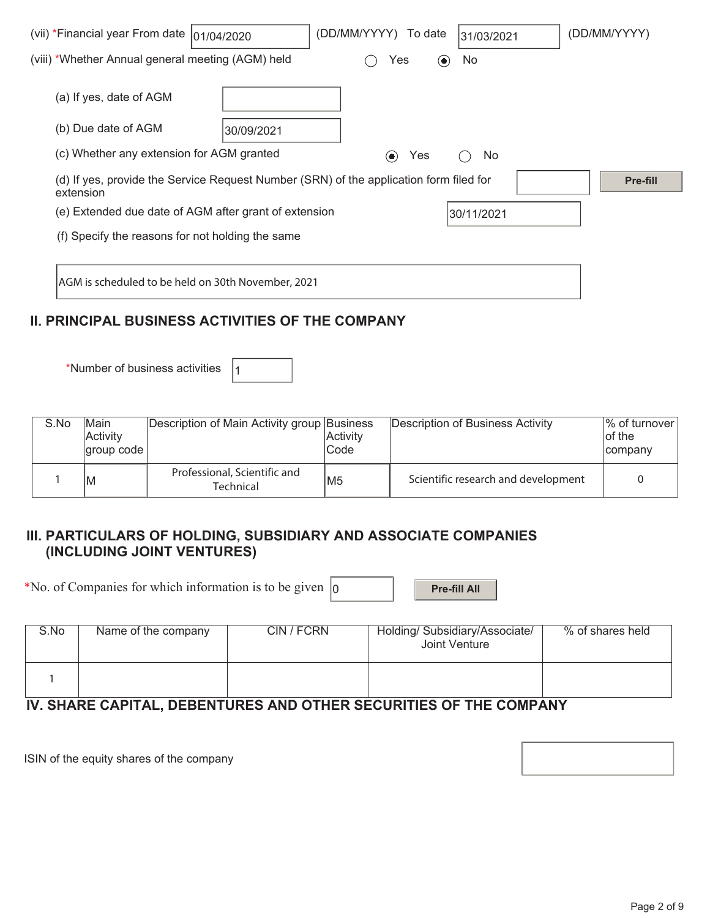| (vii) *Financial year From date  01/04/2020                                                         |            | (DD/MM/YYYY)<br>To date         | 31/03/2021 | (DD/MM/YYYY) |
|-----------------------------------------------------------------------------------------------------|------------|---------------------------------|------------|--------------|
| (viii) *Whether Annual general meeting (AGM) held                                                   |            | Yes<br>$\left( \bullet \right)$ | No.        |              |
| (a) If yes, date of AGM                                                                             |            |                                 |            |              |
| (b) Due date of AGM                                                                                 | 30/09/2021 |                                 |            |              |
| (c) Whether any extension for AGM granted                                                           |            | Yes<br>$\left( \bullet \right)$ | No.        |              |
| (d) If yes, provide the Service Request Number (SRN) of the application form filed for<br>extension |            |                                 |            | Pre-fill     |
| (e) Extended due date of AGM after grant of extension                                               |            |                                 | 30/11/2021 |              |
| (f) Specify the reasons for not holding the same                                                    |            |                                 |            |              |
|                                                                                                     |            |                                 |            |              |
| AGM is scheduled to be held on 30th November, 2021                                                  |            |                                 |            |              |

## **II. PRINCIPAL BUSINESS ACTIVITIES OF THE COMPANY**

\*Number of business activities  $|_1$ 

| S.No | lMain<br>Activity<br> group code | Description of Main Activity group Business | <b>Activity</b><br>Code | Description of Business Activity    | $\frac{1}{6}$ of turnover<br>of the<br>company |
|------|----------------------------------|---------------------------------------------|-------------------------|-------------------------------------|------------------------------------------------|
|      | ΙM                               | Professional, Scientific and<br>Technical   | lM5                     | Scientific research and development |                                                |

### **III. PARTICULARS OF HOLDING, SUBSIDIARY AND ASSOCIATE COMPANIES (INCLUDING JOINT VENTURES)**

\*No. of Companies for which information is to be given  $\vert_0$  **Pre-fill All** 

| S.No | Name of the company | CIN / FCRN | Holding/ Subsidiary/Associate/<br>Joint Venture | % of shares held |
|------|---------------------|------------|-------------------------------------------------|------------------|
|      |                     |            |                                                 |                  |

## **IV. SHARE CAPITAL, DEBENTURES AND OTHER SECURITIES OF THE COMPANY**

ISIN of the equity shares of the company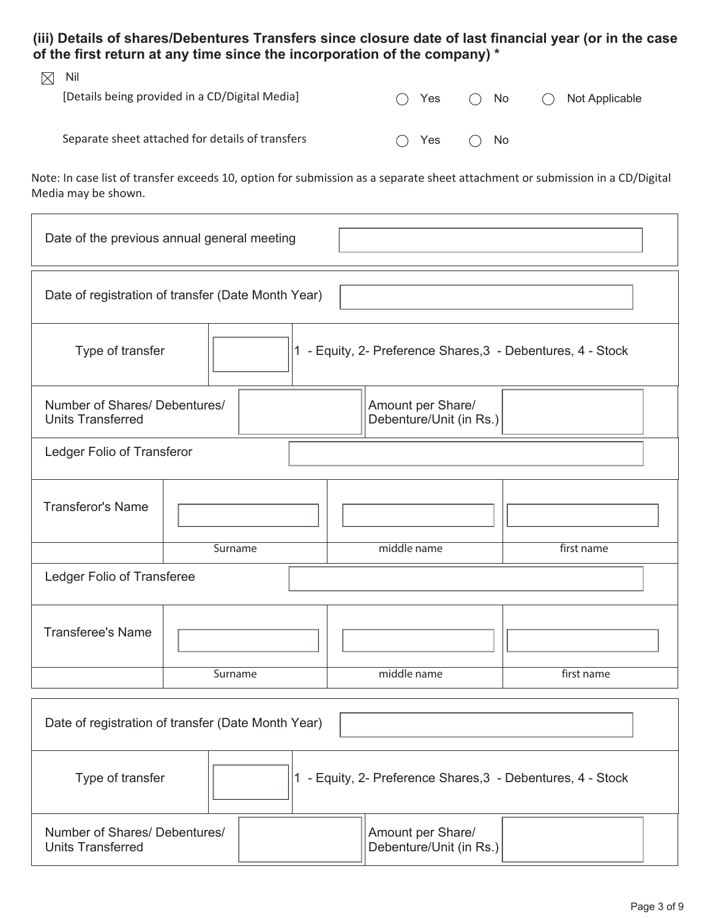**(iii) Details of shares/Debentures Transfers since closure date of last financial year (or in the case of the first return at any time since the incorporation of the company) \*** 

| $\boxtimes$ | Nil                                              |               |              |                     |
|-------------|--------------------------------------------------|---------------|--------------|---------------------|
|             | [Details being provided in a CD/Digital Media]   | $\bigcap$ Yes | $\bigcap$ No | Not Applicable<br>( |
|             |                                                  |               |              |                     |
|             | Separate sheet attached for details of transfers | $\bigcap$ Yes | $\bigcap$ No |                     |
|             |                                                  |               |              |                     |

Note: In case list of transfer exceeds 10, option for submission as a separate sheet attachment or submission in a CD/Digital Media may be shown.

| Date of the previous annual general meeting                                                               |                                                    |  |  |             |            |  |
|-----------------------------------------------------------------------------------------------------------|----------------------------------------------------|--|--|-------------|------------|--|
|                                                                                                           | Date of registration of transfer (Date Month Year) |  |  |             |            |  |
| 1 - Equity, 2- Preference Shares, 3 - Debentures, 4 - Stock<br>Type of transfer                           |                                                    |  |  |             |            |  |
| Number of Shares/ Debentures/<br>Amount per Share/<br><b>Units Transferred</b><br>Debenture/Unit (in Rs.) |                                                    |  |  |             |            |  |
| Ledger Folio of Transferor                                                                                |                                                    |  |  |             |            |  |
| <b>Transferor's Name</b>                                                                                  |                                                    |  |  |             |            |  |
|                                                                                                           | Surname                                            |  |  | middle name | first name |  |
| Ledger Folio of Transferee                                                                                |                                                    |  |  |             |            |  |
| <b>Transferee's Name</b>                                                                                  |                                                    |  |  |             |            |  |
|                                                                                                           | Surname                                            |  |  | middle name | first name |  |
| Date of registration of transfer (Date Month Year)                                                        |                                                    |  |  |             |            |  |
| Type of transfer<br>1 - Equity, 2- Preference Shares, 3 - Debentures, 4 - Stock                           |                                                    |  |  |             |            |  |

| Number of Shares/ Debentures/<br><b>Units Transferred</b> |  | Amount per Share/<br>Debenture/Unit (in Rs.) |  |
|-----------------------------------------------------------|--|----------------------------------------------|--|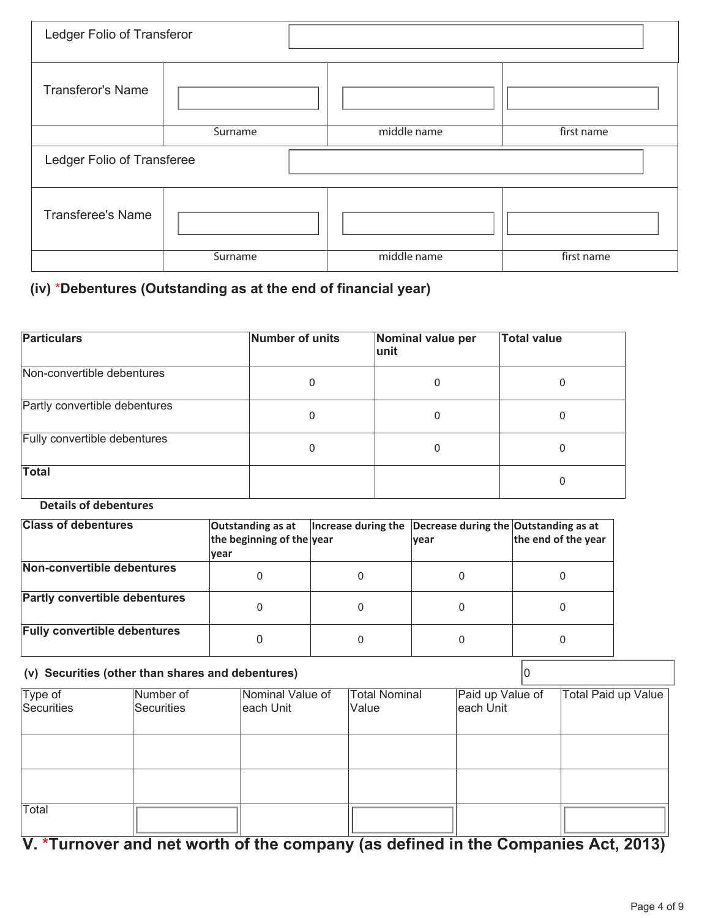| Ledger Folio of Transferor |         |             |            |  |  |
|----------------------------|---------|-------------|------------|--|--|
| <b>Transferor's Name</b>   |         |             |            |  |  |
|                            | Surname | middle name | first name |  |  |
| Ledger Folio of Transferee |         |             |            |  |  |
|                            |         |             |            |  |  |
| <b>Transferee's Name</b>   |         |             |            |  |  |

## **(iv)** \***Debentures (Outstanding as at the end of financial year)**

| <b>Particulars</b>            | Number of units | Nominal value per<br>lunit | <b>Total value</b> |
|-------------------------------|-----------------|----------------------------|--------------------|
| Non-convertible debentures    | 0               | 0                          | 0                  |
| Partly convertible debentures | 0               | 0                          |                    |
| Fully convertible debentures  | 0               | 0                          | 0                  |
| <b>Total</b>                  |                 |                            |                    |

### **Details of debentures**

| <b>Class of debentures</b>           | Outstanding as at<br>the beginning of the year<br><u>lvear</u> | Increase during the Decrease during the Outstanding as at<br><b>vear</b> | the end of the year |
|--------------------------------------|----------------------------------------------------------------|--------------------------------------------------------------------------|---------------------|
| Non-convertible debentures           | 0                                                              |                                                                          | 0                   |
| <b>Partly convertible debentures</b> | 0                                                              |                                                                          | 0                   |
| <b>Fully convertible debentures</b>  |                                                                |                                                                          | 0                   |

## **(v) Securities (other than shares and debentures)** 0

|                       | Number of  | Nominal Value of | <b>Total Nominal</b> | Paid up Value of | Total Paid up Value |
|-----------------------|------------|------------------|----------------------|------------------|---------------------|
| Type of<br>Securities | Securities | each Unit        | Value                | each Unit        |                     |
|                       |            |                  |                      |                  |                     |
|                       |            |                  |                      |                  |                     |
|                       |            |                  |                      |                  |                     |
|                       |            |                  |                      |                  |                     |
|                       |            |                  |                      |                  |                     |
| Total                 |            |                  |                      |                  |                     |
|                       |            |                  |                      |                  |                     |

## **V. \*Turnover and net worth of the company (as defined in the Companies Act, 2013)**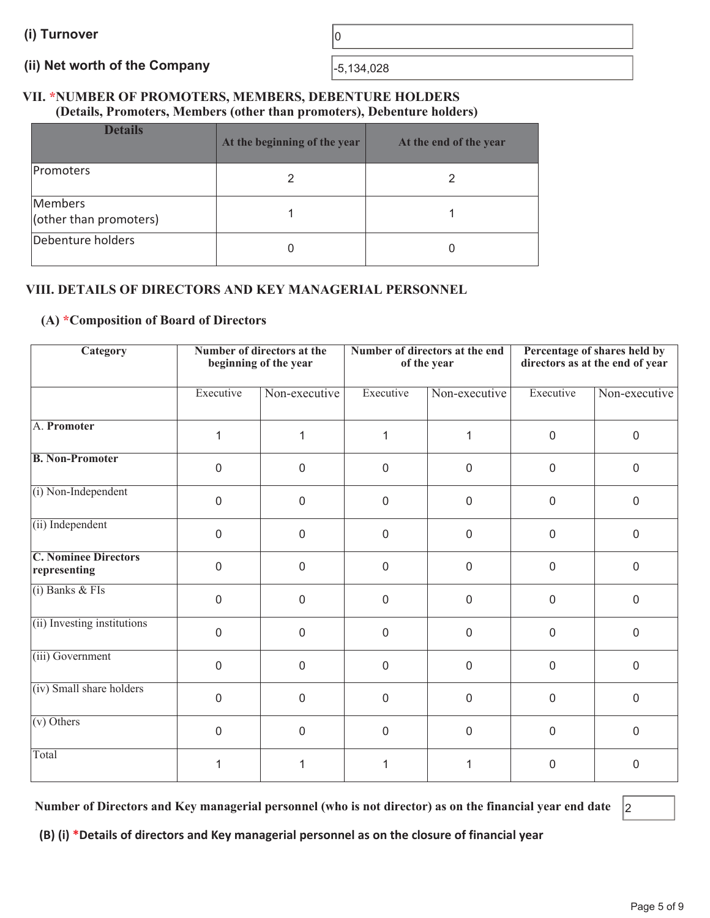# (ii) Net worth of the Company **Fig. 134,028**

#### **VII. \*NUMBER OF PROMOTERS, MEMBERS, DEBENTURE HOLDERS (Details, Promoters, Members (other than promoters), Debenture holders)**

| <b>Details</b>                    | At the beginning of the year | At the end of the year |
|-----------------------------------|------------------------------|------------------------|
| Promoters                         |                              |                        |
| Members<br>(other than promoters) |                              |                        |
| Debenture holders                 |                              |                        |

### **VIII. DETAILS OF DIRECTORS AND KEY MANAGERIAL PERSONNEL**

#### **(A) \*Composition of Board of Directors**

| <b>Category</b>                             |                | Number of directors at the<br>beginning of the year |                  | Number of directors at the end<br>of the year |                  | Percentage of shares held by<br>directors as at the end of year |  |
|---------------------------------------------|----------------|-----------------------------------------------------|------------------|-----------------------------------------------|------------------|-----------------------------------------------------------------|--|
|                                             | Executive      | Non-executive                                       | Executive        | Non-executive                                 | Executive        | Non-executive                                                   |  |
| A. Promoter                                 | 1              | 1                                                   | 1                | 1                                             | $\boldsymbol{0}$ | $\mathbf 0$                                                     |  |
| <b>B. Non-Promoter</b>                      | $\mathbf 0$    | 0                                                   | $\boldsymbol{0}$ | $\mathbf 0$                                   | 0                | $\mathbf 0$                                                     |  |
| (i) Non-Independent                         | $\mathbf 0$    | $\overline{0}$                                      | $\boldsymbol{0}$ | $\mathbf 0$                                   | 0                | $\mathbf 0$                                                     |  |
| (ii) Independent                            | $\overline{0}$ | $\mathbf 0$                                         | $\overline{0}$   | $\overline{0}$                                | $\mathbf 0$      | $\mathbf 0$                                                     |  |
| <b>C. Nominee Directors</b><br>representing | $\overline{0}$ | $\mathbf 0$                                         | $\mathbf 0$      | $\overline{0}$                                | $\overline{0}$   | $\overline{0}$                                                  |  |
| $(i)$ Banks & FIs                           | $\overline{0}$ | $\overline{0}$                                      | $\overline{0}$   | $\overline{0}$                                | $\mathbf 0$      | $\overline{0}$                                                  |  |
| (ii) Investing institutions                 | $\overline{0}$ | $\mathbf 0$                                         | $\mathbf 0$      | $\mathbf 0$                                   | $\mathbf 0$      | $\overline{0}$                                                  |  |
| (iii) Government                            | $\mathbf 0$    | $\mathbf 0$                                         | $\mathbf 0$      | $\mathbf 0$                                   | $\mathbf 0$      | $\mathbf 0$                                                     |  |
| (iv) Small share holders                    | $\mathbf 0$    | 0                                                   | $\boldsymbol{0}$ | $\mathbf 0$                                   | 0                | $\mathbf 0$                                                     |  |
| $(v)$ Others                                | $\mathbf{0}$   | $\overline{0}$                                      | 0                | $\mathbf 0$                                   | 0                | $\mathbf 0$                                                     |  |
| Total                                       |                |                                                     |                  |                                               | 0                | $\mathbf{0}$                                                    |  |

**Number of Directors and Key managerial personnel (who is not director) as on the financial year end date** 2

**(B) (i) \*Details of directors and Key managerial personnel as on the closure of financial year**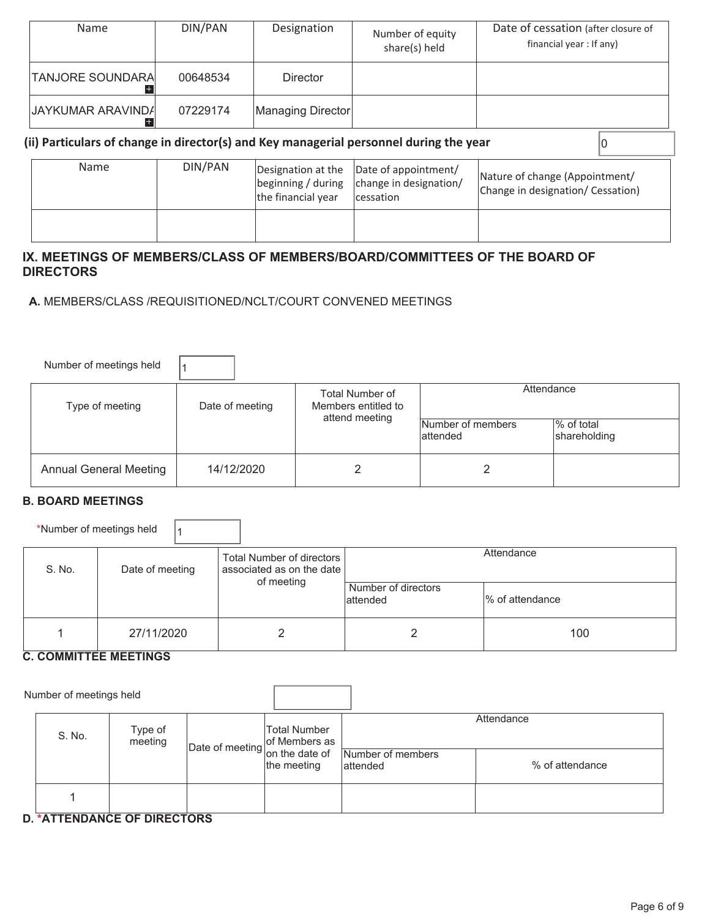| Name                    | DIN/PAN  | Designation       | Number of equity<br>share(s) held | Date of cessation (after closure of<br>financial year : If any) |
|-------------------------|----------|-------------------|-----------------------------------|-----------------------------------------------------------------|
| <b>TANJORE SOUNDARA</b> | 00648534 | Director          |                                   |                                                                 |
| JAYKUMAR ARAVINDA       | 07229174 | Managing Director |                                   |                                                                 |

### **(ii) Particulars of change in director(s) and Key managerial personnel during the year**  $\vert$ **<sup>0</sup>**

| Name | DIN/PAN | the financial year | Designation at the  Date of appointment/<br>$\beta$ beginning / during $\alpha$ change in designation/<br>cessation | Nature of change (Appointment/<br>Change in designation/ Cessation) |
|------|---------|--------------------|---------------------------------------------------------------------------------------------------------------------|---------------------------------------------------------------------|
|      |         |                    |                                                                                                                     |                                                                     |

#### **IX. MEETINGS OF MEMBERS/CLASS OF MEMBERS/BOARD/COMMITTEES OF THE BOARD OF DIRECTORS**

 **A.** MEMBERS/CLASS /REQUISITIONED/NCLT/COURT CONVENED MEETINGS

| Number of meetings held       |                 |                                        |                                |                            |
|-------------------------------|-----------------|----------------------------------------|--------------------------------|----------------------------|
| Type of meeting               | Date of meeting | Total Number of<br>Members entitled to | Attendance                     |                            |
|                               |                 | attend meeting                         | Number of members<br>lattended | % of total<br>shareholding |
| <b>Annual General Meeting</b> | 14/12/2020      |                                        |                                |                            |

#### **B. BOARD MEETINGS**

\*Number of meetings held  $\vert$ 1

| S. No. | Date of meeting | Total Number of directors<br>associated as on the date I |                                  | Attendance       |
|--------|-----------------|----------------------------------------------------------|----------------------------------|------------------|
|        |                 | of meeting                                               | Number of directors<br>lattended | Ⅰ% of attendance |
|        | 27/11/2020      |                                                          |                                  | 100              |

#### **C. COMMITTEE MEETINGS**

Number of meetings held

| S. No. | Type of<br>meeting | Total Number | Date of meeting of Members as Mumber of members | Attendance      |
|--------|--------------------|--------------|-------------------------------------------------|-----------------|
|        |                    | the meeting  | lattended                                       | % of attendance |
|        |                    |              |                                                 |                 |

#### **D. \*ATTENDANCE OF DIRECTORS**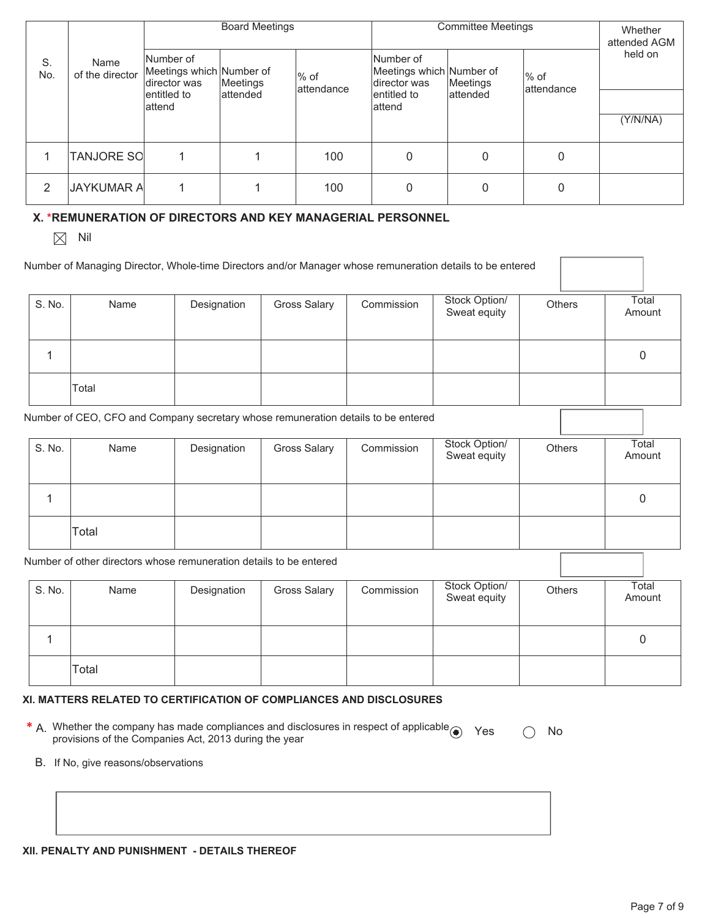|           |                         |                                                       | <b>Board Meetings</b> |                       |                                                       | <b>Committee Meetings</b> |                       | Whether<br>attended AGM |
|-----------|-------------------------|-------------------------------------------------------|-----------------------|-----------------------|-------------------------------------------------------|---------------------------|-----------------------|-------------------------|
| S.<br>No. | Name<br>of the director | Number of<br>Meetings which Number of<br>director was | Meetings              | $%$ of<br>lattendance | Number of<br>Meetings which Number of<br>director was | Meetings                  | $%$ of<br>lattendance | held on                 |
|           |                         | lentitled to<br>lattend                               | lattended             |                       | entitled to<br>lattend                                | lattended                 |                       |                         |
|           |                         |                                                       |                       |                       |                                                       |                           |                       | (Y/N/NA)                |
|           | <b>TANJORE SO</b>       |                                                       |                       | 100                   | 0                                                     | 0                         | 0                     |                         |
| 2         | <b>JAYKUMAR A</b>       |                                                       |                       | 100                   | 0                                                     | 0                         | $\Omega$              |                         |

#### **X. \*REMUNERATION OF DIRECTORS AND KEY MANAGERIAL PERSONNEL**

 $\boxtimes$  Nil

|        | Number of Managing Director, Whole-time Directors and/or Manager whose remuneration details to be entered |             |                     |            |                               |        |                 |
|--------|-----------------------------------------------------------------------------------------------------------|-------------|---------------------|------------|-------------------------------|--------|-----------------|
| S. No. | Name                                                                                                      | Designation | <b>Gross Salary</b> | Commission | Stock Option/<br>Sweat equity | Others | Total<br>Amount |
|        |                                                                                                           |             |                     |            |                               |        |                 |
|        |                                                                                                           |             |                     |            |                               |        |                 |
|        | Total                                                                                                     |             |                     |            |                               |        |                 |

Number of CEO, CFO and Company secretary whose remuneration details to be entered

| S. No. | Name  | Designation | <b>Gross Salary</b> | Commission | Stock Option/<br>Sweat equity | Others | Total<br>Amount |
|--------|-------|-------------|---------------------|------------|-------------------------------|--------|-----------------|
|        |       |             |                     |            |                               |        | 0               |
|        | Total |             |                     |            |                               |        |                 |

Number of other directors whose remuneration details to be entered

| S. No. | Name  | Designation | <b>Gross Salary</b> | Commission | Stock Option/<br>Sweat equity | <b>Others</b> | Total<br>Amount |
|--------|-------|-------------|---------------------|------------|-------------------------------|---------------|-----------------|
|        |       |             |                     |            |                               |               |                 |
|        | Total |             |                     |            |                               |               |                 |

#### **XI. MATTERS RELATED TO CERTIFICATION OF COMPLIANCES AND DISCLOSURES**

- **\*** A. Whether the company has made compliances and disclosures in respect of applicable Yes No<br>provisions of the Companies Act, 2013 during the year
	- B. If No, give reasons/observations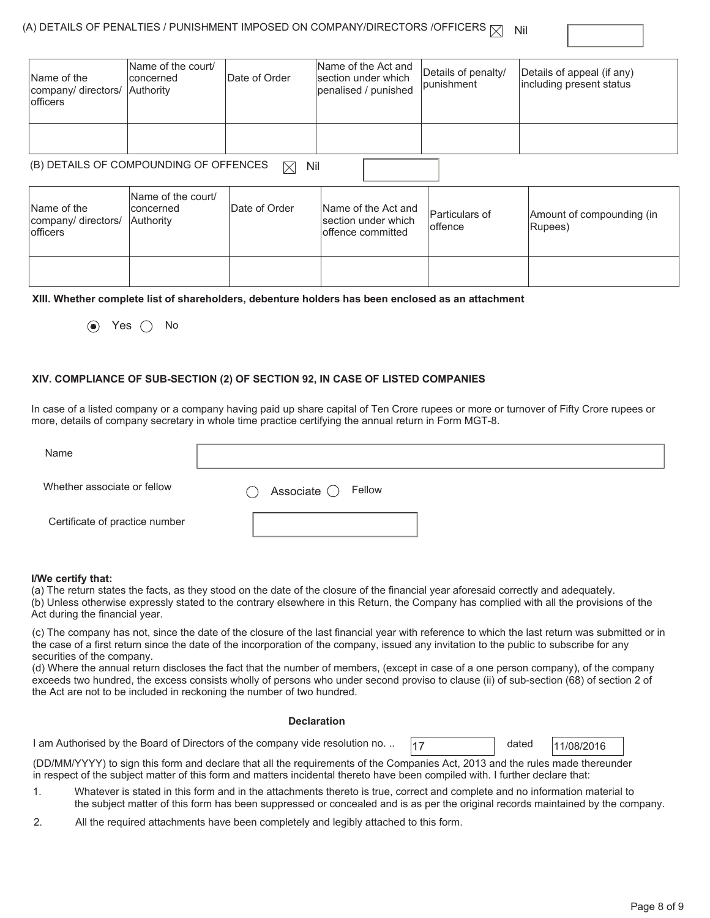#### (A) DETAILS OF PENALTIES / PUNISHMENT IMPOSED ON COMPANY/DIRECTORS /OFFICERS  $\boxtimes$  Nil

| Name of the<br>company/ directors/<br><b>officers</b> | Name of the court/<br>concerned<br>Authority  | Date of Order      | Name of the Act and<br>lsection under which<br>penalised / punished | Details of penalty/<br>punishment | Details of appeal (if any)<br>including present status |
|-------------------------------------------------------|-----------------------------------------------|--------------------|---------------------------------------------------------------------|-----------------------------------|--------------------------------------------------------|
|                                                       |                                               |                    |                                                                     |                                   |                                                        |
|                                                       | (B) DETAILS OF COMPOUNDING OF OFFENCES        | Nil<br>$\boxtimes$ |                                                                     |                                   |                                                        |
| Name of the<br>company/ directors/<br>officers        | Name of the court/<br>lconcerned<br>Authority | Date of Order      | Name of the Act and<br>section under which<br>offence committed     | Particulars of<br>loffence        | Amount of compounding (in<br>Rupees)                   |
|                                                       |                                               |                    |                                                                     |                                   |                                                        |

#### **XIII. Whether complete list of shareholders, debenture holders has been enclosed as an attachment**

 $\odot$  Yes  $\odot$  No

#### **XIV. COMPLIANCE OF SUB-SECTION (2) OF SECTION 92, IN CASE OF LISTED COMPANIES**

In case of a listed company or a company having paid up share capital of Ten Crore rupees or more or turnover of Fifty Crore rupees or more, details of company secretary in whole time practice certifying the annual return in Form MGT-8.

| Name                           |                                                    |
|--------------------------------|----------------------------------------------------|
| Whether associate or fellow    | Associate $\bigcirc$ Fellow<br>$\hat{\phantom{a}}$ |
| Certificate of practice number |                                                    |

#### **I/We certify that:**

(a) The return states the facts, as they stood on the date of the closure of the financial year aforesaid correctly and adequately.

(b) Unless otherwise expressly stated to the contrary elsewhere in this Return, the Company has complied with all the provisions of the Act during the financial year.

(c) The company has not, since the date of the closure of the last financial year with reference to which the last return was submitted or in the case of a first return since the date of the incorporation of the company, issued any invitation to the public to subscribe for any securities of the company.

(d) Where the annual return discloses the fact that the number of members, (except in case of a one person company), of the company exceeds two hundred, the excess consists wholly of persons who under second proviso to clause (ii) of sub-section (68) of section 2 of the Act are not to be included in reckoning the number of two hundred.

#### **Declaration**

1 am Authorised by the Board of Directors of the company vide resolution no. ..  $\vert$ 17 dated  $\vert$ 11/08/2016

dated

(DD/MM/YYYY) to sign this form and declare that all the requirements of the Companies Act, 2013 and the rules made thereunder in respect of the subject matter of this form and matters incidental thereto have been compiled with. I further declare that:

- 1. Whatever is stated in this form and in the attachments thereto is true, correct and complete and no information material to the subject matter of this form has been suppressed or concealed and is as per the original records maintained by the company.
- 2. All the required attachments have been completely and legibly attached to this form.